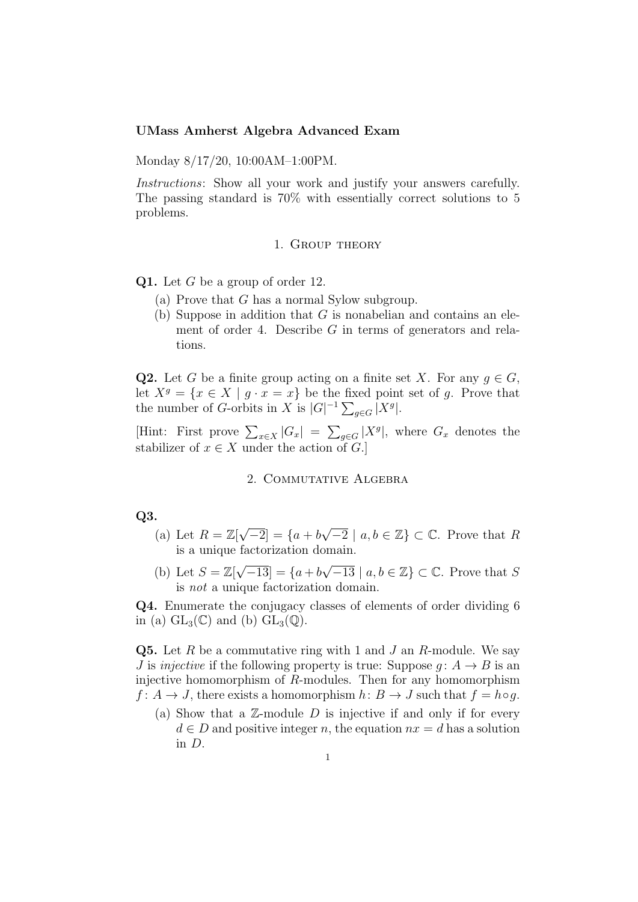## UMass Amherst Algebra Advanced Exam

Monday 8/17/20, 10:00AM–1:00PM.

Instructions: Show all your work and justify your answers carefully. The passing standard is 70% with essentially correct solutions to 5 problems.

## 1. Group theory

**Q1.** Let  $G$  be a group of order 12.

- (a) Prove that G has a normal Sylow subgroup.
- (b) Suppose in addition that  $G$  is nonabelian and contains an element of order 4. Describe  $G$  in terms of generators and relations.

**Q2.** Let G be a finite group acting on a finite set X. For any  $q \in G$ , let  $X^g = \{x \in X \mid g \cdot x = x\}$  be the fixed point set of g. Prove that the number of G-orbits in X is  $|G|^{-1} \sum_{g \in G} |X^g|$ .

[Hint: First prove  $\sum_{x\in X} |G_x| = \sum_{g\in G} |X^g|$ , where  $G_x$  denotes the stabilizer of  $x \in X$  under the action of G.

# 2. Commutative Algebra

# Q3.

- (a) Let  $R = \mathbb{Z}[\sqrt{\}]$  $\boxed{-2} = \{a+b\}$  $\sqrt{-2} \mid a, b \in \mathbb{Z} \} \subset \mathbb{C}$ . Prove that R is a unique factorization domain.
- (b) Let  $S = \mathbb{Z}[\sqrt{2}]$  $\boxed{-13} = \{a+b\}$  $\sqrt{-13} \mid a, b \in \mathbb{Z} \} \subset \mathbb{C}$ . Prove that S is not a unique factorization domain.

Q4. Enumerate the conjugacy classes of elements of order dividing 6 in (a)  $GL_3(\mathbb{C})$  and (b)  $GL_3(\mathbb{Q})$ .

**Q5.** Let R be a commutative ring with 1 and J an R-module. We say J is *injective* if the following property is true: Suppose  $q: A \rightarrow B$  is an injective homomorphism of R-modules. Then for any homomorphism  $f: A \to J$ , there exists a homomorphism  $h: B \to J$  such that  $f = h \circ g$ .

(a) Show that a  $\mathbb{Z}$ -module  $D$  is injective if and only if for every  $d \in D$  and positive integer n, the equation  $nx = d$  has a solution in D.